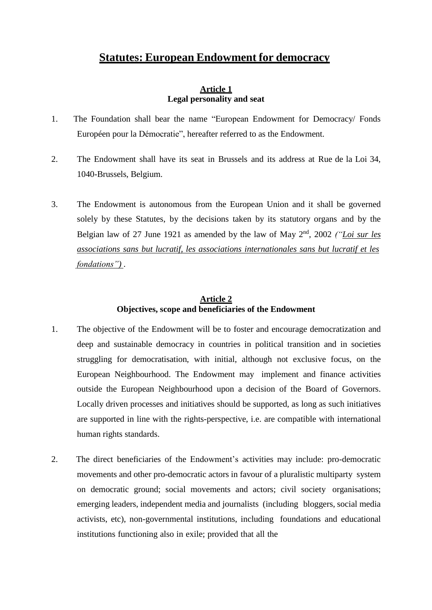## **Statutes: European Endowment for democracy**

#### **Article 1 Legal personality and seat**

- 1. The Foundation shall bear the name "European Endowment for Democracy/ Fonds Européen pour la Démocratie", hereafter referred to as the Endowment.
- 2. The Endowment shall have its seat in Brussels and its address at Rue de la Loi 34, 1040-Brussels, Belgium.
- 3. The Endowment is autonomous from the European Union and it shall be governed solely by these Statutes, by the decisions taken by its statutory organs and by the Belgian law of 27 June 1921 as amended by the law of May 2<sup>nd</sup>, 2002 *("Loi sur les associations sans but lucratif, les associations internationales sans but lucratif et les fondations")* .

## **Article 2 Objectives, scope and beneficiaries of the Endowment**

- 1. The objective of the Endowment will be to foster and encourage democratization and deep and sustainable democracy in countries in political transition and in societies struggling for democratisation, with initial, although not exclusive focus, on the European Neighbourhood. The Endowment may implement and finance activities outside the European Neighbourhood upon a decision of the Board of Governors. Locally driven processes and initiatives should be supported, as long as such initiatives are supported in line with the rights-perspective, i.e. are compatible with international human rights standards.
- 2. The direct beneficiaries of the Endowment's activities may include: pro-democratic movements and other pro-democratic actors in favour of a pluralistic multiparty system on democratic ground; social movements and actors; civil society organisations; emerging leaders, independent media and journalists (including bloggers, social media activists, etc), non-governmental institutions, including foundations and educational institutions functioning also in exile; provided that all the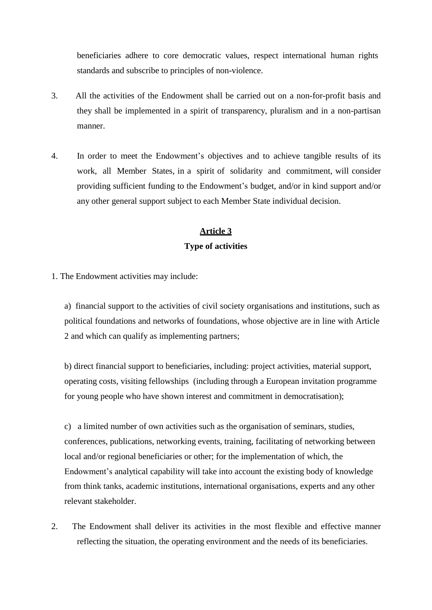beneficiaries adhere to core democratic values, respect international human rights standards and subscribe to principles of non-violence.

- 3. All the activities of the Endowment shall be carried out on a non-for-profit basis and they shall be implemented in a spirit of transparency, pluralism and in a non-partisan manner.
- 4. In order to meet the Endowment's objectives and to achieve tangible results of its work, all Member States, in a spirit of solidarity and commitment, will consider providing sufficient funding to the Endowment's budget, and/or in kind support and/or any other general support subject to each Member State individual decision.

# **Article 3 Type of activities**

1. The Endowment activities may include:

a) financial support to the activities of civil society organisations and institutions, such as political foundations and networks of foundations, whose objective are in line with Article 2 and which can qualify as implementing partners;

b) direct financial support to beneficiaries, including: project activities, material support, operating costs, visiting fellowships (including through a European invitation programme for young people who have shown interest and commitment in democratisation);

c) a limited number of own activities such as the organisation of seminars, studies, conferences, publications, networking events, training, facilitating of networking between local and/or regional beneficiaries or other; for the implementation of which, the Endowment's analytical capability will take into account the existing body of knowledge from think tanks, academic institutions, international organisations, experts and any other relevant stakeholder.

2. The Endowment shall deliver its activities in the most flexible and effective manner reflecting the situation, the operating environment and the needs of its beneficiaries.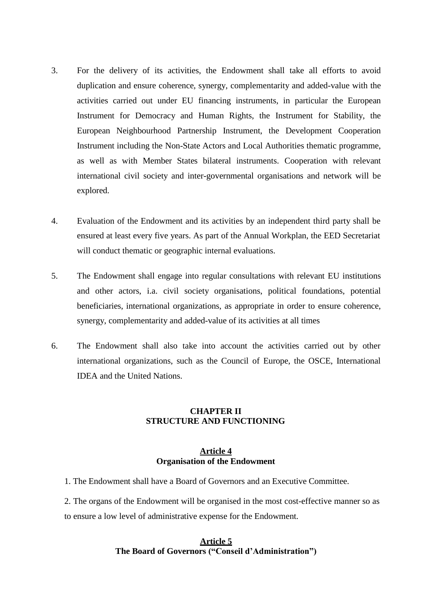- 3. For the delivery of its activities, the Endowment shall take all efforts to avoid duplication and ensure coherence, synergy, complementarity and added-value with the activities carried out under EU financing instruments, in particular the European Instrument for Democracy and Human Rights, the Instrument for Stability, the European Neighbourhood Partnership Instrument, the Development Cooperation Instrument including the Non-State Actors and Local Authorities thematic programme, as well as with Member States bilateral instruments. Cooperation with relevant international civil society and inter-governmental organisations and network will be explored.
- 4. Evaluation of the Endowment and its activities by an independent third party shall be ensured at least every five years. As part of the Annual Workplan, the EED Secretariat will conduct thematic or geographic internal evaluations.
- 5. The Endowment shall engage into regular consultations with relevant EU institutions and other actors, i.a. civil society organisations, political foundations, potential beneficiaries, international organizations, as appropriate in order to ensure coherence, synergy, complementarity and added-value of its activities at all times
- 6. The Endowment shall also take into account the activities carried out by other international organizations, such as the Council of Europe, the OSCE, International IDEA and the United Nations.

#### **CHAPTER II STRUCTURE AND FUNCTIONING**

#### **Article 4 Organisation of the Endowment**

1. The Endowment shall have a Board of Governors and an Executive Committee.

2. The organs of the Endowment will be organised in the most cost-effective manner so as to ensure a low level of administrative expense for the Endowment.

#### **Article 5 The Board of Governors ("Conseil d'Administration")**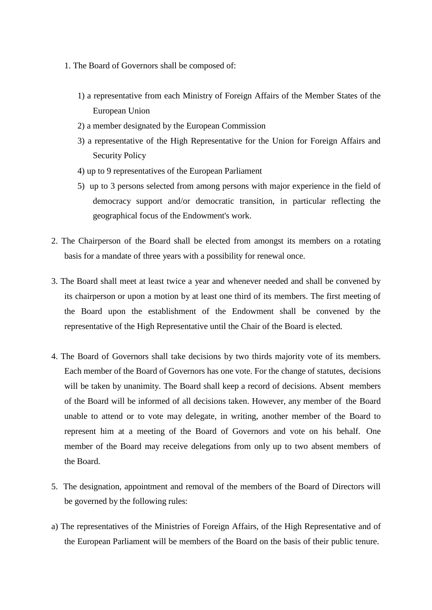- 1. The Board of Governors shall be composed of:
	- 1) a representative from each Ministry of Foreign Affairs of the Member States of the European Union
	- 2) a member designated by the European Commission
	- 3) a representative of the High Representative for the Union for Foreign Affairs and Security Policy
	- 4) up to 9 representatives of the European Parliament
	- 5) up to 3 persons selected from among persons with major experience in the field of democracy support and/or democratic transition, in particular reflecting the geographical focus of the Endowment's work.
- 2. The Chairperson of the Board shall be elected from amongst its members on a rotating basis for a mandate of three years with a possibility for renewal once.
- 3. The Board shall meet at least twice a year and whenever needed and shall be convened by its chairperson or upon a motion by at least one third of its members. The first meeting of the Board upon the establishment of the Endowment shall be convened by the representative of the High Representative until the Chair of the Board is elected.
- 4. The Board of Governors shall take decisions by two thirds majority vote of its members. Each member of the Board of Governors has one vote. For the change of statutes, decisions will be taken by unanimity. The Board shall keep a record of decisions. Absent members of the Board will be informed of all decisions taken. However, any member of the Board unable to attend or to vote may delegate, in writing, another member of the Board to represent him at a meeting of the Board of Governors and vote on his behalf. One member of the Board may receive delegations from only up to two absent members of the Board.
- 5. The designation, appointment and removal of the members of the Board of Directors will be governed by the following rules:
- a) The representatives of the Ministries of Foreign Affairs, of the High Representative and of the European Parliament will be members of the Board on the basis of their public tenure.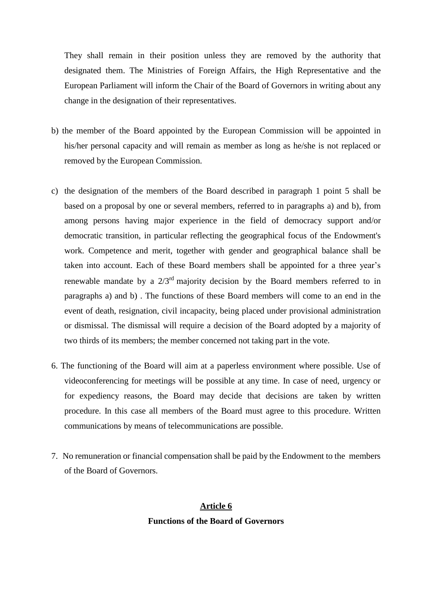They shall remain in their position unless they are removed by the authority that designated them. The Ministries of Foreign Affairs, the High Representative and the European Parliament will inform the Chair of the Board of Governors in writing about any change in the designation of their representatives.

- b) the member of the Board appointed by the European Commission will be appointed in his/her personal capacity and will remain as member as long as he/she is not replaced or removed by the European Commission.
- c) the designation of the members of the Board described in paragraph 1 point 5 shall be based on a proposal by one or several members, referred to in paragraphs a) and b), from among persons having major experience in the field of democracy support and/or democratic transition, in particular reflecting the geographical focus of the Endowment's work. Competence and merit, together with gender and geographical balance shall be taken into account. Each of these Board members shall be appointed for a three year's renewable mandate by a  $2/3<sup>rd</sup>$  majority decision by the Board members referred to in paragraphs a) and b) . The functions of these Board members will come to an end in the event of death, resignation, civil incapacity, being placed under provisional administration or dismissal. The dismissal will require a decision of the Board adopted by a majority of two thirds of its members; the member concerned not taking part in the vote.
- 6. The functioning of the Board will aim at a paperless environment where possible. Use of videoconferencing for meetings will be possible at any time. In case of need, urgency or for expediency reasons, the Board may decide that decisions are taken by written procedure. In this case all members of the Board must agree to this procedure. Written communications by means of telecommunications are possible.
- 7. No remuneration or financial compensation shall be paid by the Endowment to the members of the Board of Governors.

## **Article 6 Functions of the Board of Governors**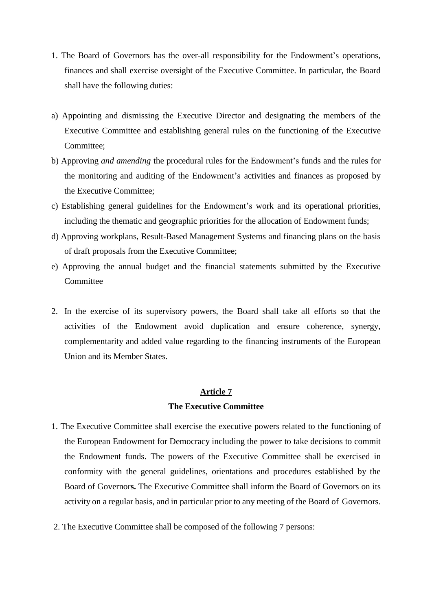- 1. The Board of Governors has the over-all responsibility for the Endowment's operations, finances and shall exercise oversight of the Executive Committee. In particular, the Board shall have the following duties:
- a) Appointing and dismissing the Executive Director and designating the members of the Executive Committee and establishing general rules on the functioning of the Executive Committee;
- b) Approving *and amending* the procedural rules for the Endowment's funds and the rules for the monitoring and auditing of the Endowment's activities and finances as proposed by the Executive Committee;
- c) Establishing general guidelines for the Endowment's work and its operational priorities, including the thematic and geographic priorities for the allocation of Endowment funds;
- d) Approving workplans, Result-Based Management Systems and financing plans on the basis of draft proposals from the Executive Committee;
- e) Approving the annual budget and the financial statements submitted by the Executive **Committee**
- 2. In the exercise of its supervisory powers, the Board shall take all efforts so that the activities of the Endowment avoid duplication and ensure coherence, synergy, complementarity and added value regarding to the financing instruments of the European Union and its Member States.

#### **Article 7**

#### **The Executive Committee**

- 1. The Executive Committee shall exercise the executive powers related to the functioning of the European Endowment for Democracy including the power to take decisions to commit the Endowment funds. The powers of the Executive Committee shall be exercised in conformity with the general guidelines, orientations and procedures established by the Board of Governor**s.** The Executive Committee shall inform the Board of Governors on its activity on a regular basis, and in particular prior to any meeting of the Board of Governors.
- 2. The Executive Committee shall be composed of the following 7 persons: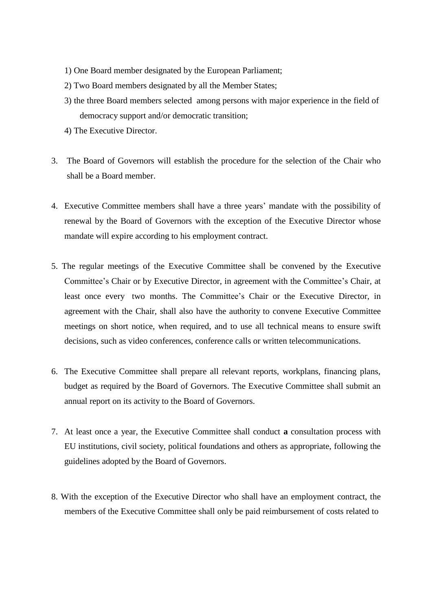- 1) One Board member designated by the European Parliament;
- 2) Two Board members designated by all the Member States;
- 3) the three Board members selected among persons with major experience in the field of democracy support and/or democratic transition;
- 4) The Executive Director.
- 3. The Board of Governors will establish the procedure for the selection of the Chair who shall be a Board member.
- 4. Executive Committee members shall have a three years' mandate with the possibility of renewal by the Board of Governors with the exception of the Executive Director whose mandate will expire according to his employment contract.
- 5. The regular meetings of the Executive Committee shall be convened by the Executive Committee's Chair or by Executive Director, in agreement with the Committee's Chair, at least once every two months. The Committee's Chair or the Executive Director, in agreement with the Chair, shall also have the authority to convene Executive Committee meetings on short notice, when required, and to use all technical means to ensure swift decisions, such as video conferences, conference calls or written telecommunications.
- 6. The Executive Committee shall prepare all relevant reports, workplans, financing plans, budget as required by the Board of Governors. The Executive Committee shall submit an annual report on its activity to the Board of Governors.
- 7. At least once a year, the Executive Committee shall conduct **a** consultation process with EU institutions, civil society, political foundations and others as appropriate, following the guidelines adopted by the Board of Governors.
- 8. With the exception of the Executive Director who shall have an employment contract, the members of the Executive Committee shall only be paid reimbursement of costs related to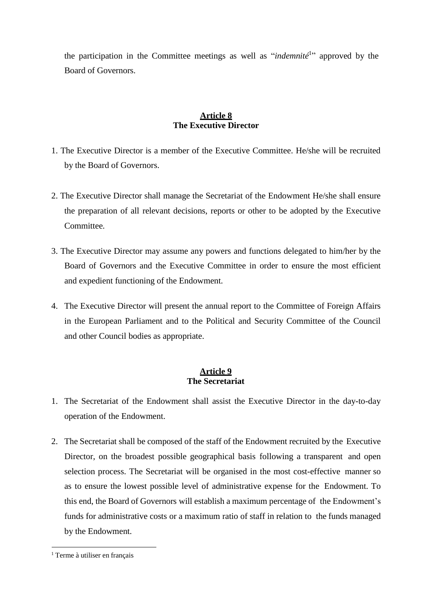the participation in the Committee meetings as well as "*indemnité*<sup>1</sup> " approved by the Board of Governors.

## **Article 8 The Executive Director**

- 1. The Executive Director is a member of the Executive Committee. He/she will be recruited by the Board of Governors.
- 2. The Executive Director shall manage the Secretariat of the Endowment He/she shall ensure the preparation of all relevant decisions, reports or other to be adopted by the Executive Committee.
- 3. The Executive Director may assume any powers and functions delegated to him/her by the Board of Governors and the Executive Committee in order to ensure the most efficient and expedient functioning of the Endowment.
- 4. The Executive Director will present the annual report to the Committee of Foreign Affairs in the European Parliament and to the Political and Security Committee of the Council and other Council bodies as appropriate.

## **Article 9 The Secretariat**

- 1. The Secretariat of the Endowment shall assist the Executive Director in the day-to-day operation of the Endowment.
- 2. The Secretariat shall be composed of the staff of the Endowment recruited by the Executive Director, on the broadest possible geographical basis following a transparent and open selection process. The Secretariat will be organised in the most cost-effective manner so as to ensure the lowest possible level of administrative expense for the Endowment. To this end, the Board of Governors will establish a maximum percentage of the Endowment's funds for administrative costs or a maximum ratio of staff in relation to the funds managed by the Endowment.

<sup>&</sup>lt;sup>1</sup> Terme à utiliser en français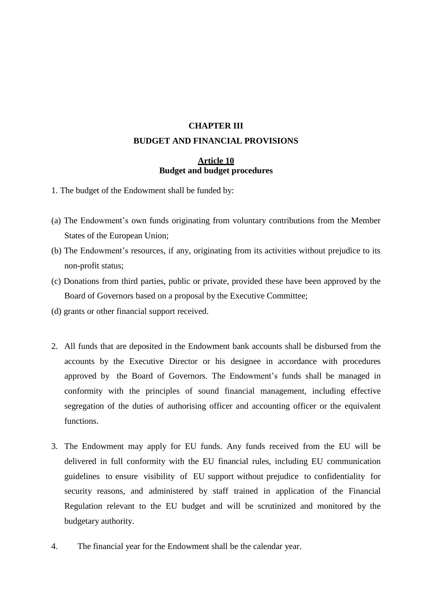# **CHAPTER III BUDGET AND FINANCIAL PROVISIONS**

## **Article 10 Budget and budget procedures**

- 1. The budget of the Endowment shall be funded by:
- (a) The Endowment's own funds originating from voluntary contributions from the Member States of the European Union;
- (b) The Endowment's resources, if any, originating from its activities without prejudice to its non-profit status;
- (c) Donations from third parties, public or private, provided these have been approved by the Board of Governors based on a proposal by the Executive Committee;
- (d) grants or other financial support received.
- 2. All funds that are deposited in the Endowment bank accounts shall be disbursed from the accounts by the Executive Director or his designee in accordance with procedures approved by the Board of Governors. The Endowment's funds shall be managed in conformity with the principles of sound financial management, including effective segregation of the duties of authorising officer and accounting officer or the equivalent functions.
- 3. The Endowment may apply for EU funds. Any funds received from the EU will be delivered in full conformity with the EU financial rules, including EU communication guidelines to ensure visibility of EU support without prejudice to confidentiality for security reasons, and administered by staff trained in application of the Financial Regulation relevant to the EU budget and will be scrutinized and monitored by the budgetary authority.
- 4. The financial year for the Endowment shall be the calendar year.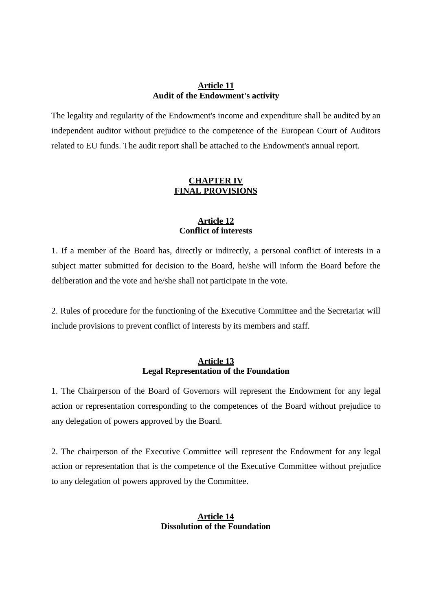#### **Article 11 Audit of the Endowment's activity**

The legality and regularity of the Endowment's income and expenditure shall be audited by an independent auditor without prejudice to the competence of the European Court of Auditors related to EU funds. The audit report shall be attached to the Endowment's annual report.

## **CHAPTER IV FINAL PROVISIONS**

## **Article 12 Conflict of interests**

1. If a member of the Board has, directly or indirectly, a personal conflict of interests in a subject matter submitted for decision to the Board, he/she will inform the Board before the deliberation and the vote and he/she shall not participate in the vote.

2. Rules of procedure for the functioning of the Executive Committee and the Secretariat will include provisions to prevent conflict of interests by its members and staff.

#### **Article 13 Legal Representation of the Foundation**

1. The Chairperson of the Board of Governors will represent the Endowment for any legal action or representation corresponding to the competences of the Board without prejudice to any delegation of powers approved by the Board.

2. The chairperson of the Executive Committee will represent the Endowment for any legal action or representation that is the competence of the Executive Committee without prejudice to any delegation of powers approved by the Committee.

#### **Article 14 Dissolution of the Foundation**